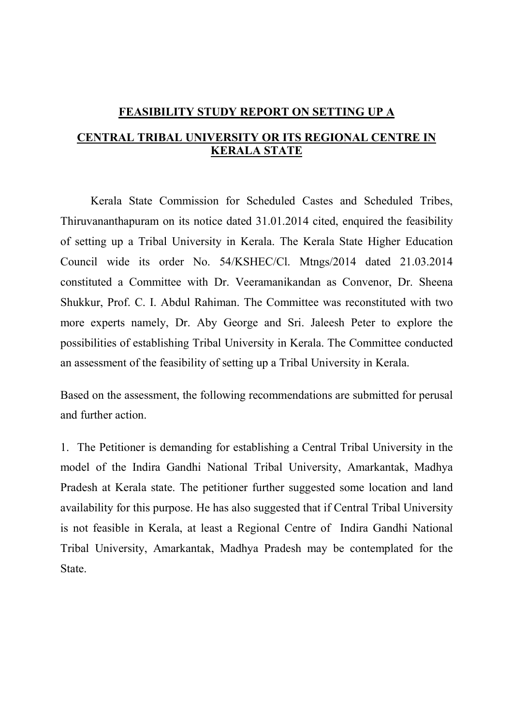## **FEASIBILITY STUDY REPORT ON SETTING UP A CENTRAL TRIBAL UNIVERSITY OR ITS REGIONAL CENTRE IN KERALA STATE**

Kerala State Commission for Scheduled Castes and Scheduled Tribes, Thiruvananthapuram on its notice dated 31.01.2014 cited, enquired the feasibility of setting up a Tribal University in Kerala. The Kerala State Higher Education Council wide its order No. 54/KSHEC/Cl. Mtngs/2014 dated 21.03.2014 constituted a Committee with Dr. Veeramanikandan as Convenor, Dr. Sheena Shukkur, Prof. C. I. Abdul Rahiman. The Committee was reconstituted with two more experts namely, Dr. Aby George and Sri. Jaleesh Peter to explore the possibilities of establishing Tribal University in Kerala. The Committee conducted an assessment of the feasibility of setting up a Tribal University in Kerala.

Based on the assessment, the following recommendations are submitted for perusal and further action.

1. The Petitioner is demanding for establishing a Central Tribal University in the model of the Indira Gandhi National Tribal University, Amarkantak, Madhya Pradesh at Kerala state. The petitioner further suggested some location and land availability for this purpose. He has also suggested that if Central Tribal University is not feasible in Kerala, at least a Regional Centre of Indira Gandhi National Tribal University, Amarkantak, Madhya Pradesh may be contemplated for the State.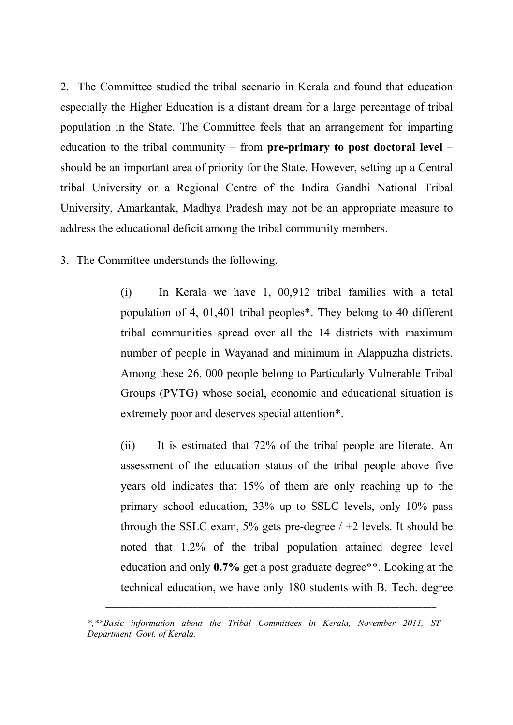2. The Committee studied the tribal scenario in Kerala and found that education especially the Higher Education is a distant dream for a large percentage of tribal population in the State. The Committee feels that an arrangement for imparting education to the tribal community – from **pre-primary to post doctoral level** – should be an important area of priority for the State. However, setting up a Central tribal University or a Regional Centre of the Indira Gandhi National Tribal University, Amarkantak, Madhya Pradesh may not be an appropriate measure to address the educational deficit among the tribal community members.

3. The Committee understands the following.

(i) In Kerala we have 1, 00,912 tribal families with a total population of 4, 01,401 tribal peoples\*. They belong to 40 different tribal communities spread over all the 14 districts with maximum number of people in Wayanad and minimum in Alappuzha districts. Among these 26, 000 people belong to Particularly Vulnerable Tribal Groups (PVTG) whose social, economic and educational situation is extremely poor and deserves special attention\*.

(ii) It is estimated that 72% of the tribal people are literate. An assessment of the education status of the tribal people above five years old indicates that 15% of them are only reaching up to the primary school education, 33% up to SSLC levels, only 10% pass through the SSLC exam,  $5\%$  gets pre-degree  $/ +2$  levels. It should be noted that 1.2% of the tribal population attained degree level education and only **0.7%** get a post graduate degree\*\*. Looking at the technical education, we have only 180 students with B. Tech. degree

\_\_\_\_\_\_\_\_\_\_\_\_\_\_\_\_\_\_\_\_\_\_\_\_\_\_\_\_\_\_\_\_\_\_\_\_\_\_\_\_\_\_\_\_\_\_\_\_\_\_\_\_\_\_\_\_\_\_\_\_\_\_\_\_\_\_\_\_\_\_\_\_

*<sup>\*,\*\*</sup>Basic information about the Tribal Committees in Kerala, November 2011, ST*  \_*Department, Govt. of Kerala.*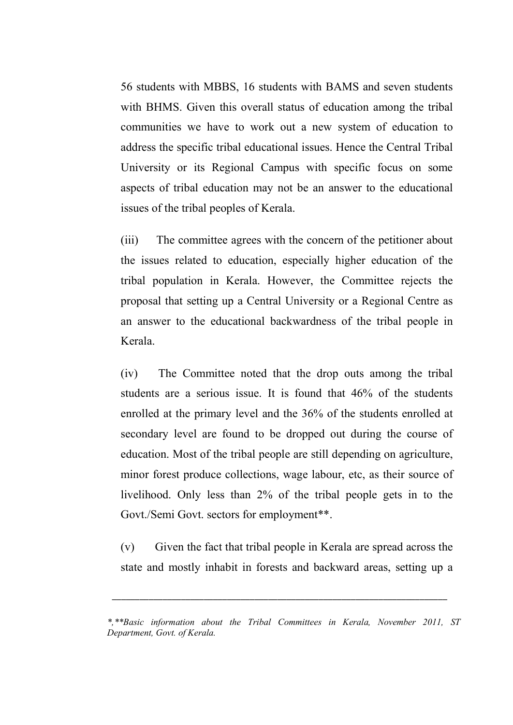56 students with MBBS, 16 students with BAMS and seven students with BHMS. Given this overall status of education among the tribal communities we have to work out a new system of education to address the specific tribal educational issues. Hence the Central Tribal University or its Regional Campus with specific focus on some aspects of tribal education may not be an answer to the educational issues of the tribal peoples of Kerala.

(iii) The committee agrees with the concern of the petitioner about the issues related to education, especially higher education of the tribal population in Kerala. However, the Committee rejects the proposal that setting up a Central University or a Regional Centre as an answer to the educational backwardness of the tribal people in Kerala.

(iv) The Committee noted that the drop outs among the tribal students are a serious issue. It is found that 46% of the students enrolled at the primary level and the 36% of the students enrolled at secondary level are found to be dropped out during the course of education. Most of the tribal people are still depending on agriculture, minor forest produce collections, wage labour, etc, as their source of livelihood. Only less than 2% of the tribal people gets in to the Govt./Semi Govt. sectors for employment\*\*.

(v) Given the fact that tribal people in Kerala are spread across the state and mostly inhabit in forests and backward areas, setting up a

\_\_\_\_\_\_\_\_\_\_\_\_\_\_\_\_\_\_\_\_\_\_\_\_\_\_\_\_\_\_\_\_\_\_\_\_\_\_\_\_\_\_\_\_\_\_\_\_\_\_\_\_\_\_\_\_\_\_\_\_\_\_\_\_\_\_\_\_\_\_\_\_\_

*<sup>\*,\*\*</sup>Basic information about the Tribal Committees in Kerala, November 2011, ST Department, Govt. of Kerala.*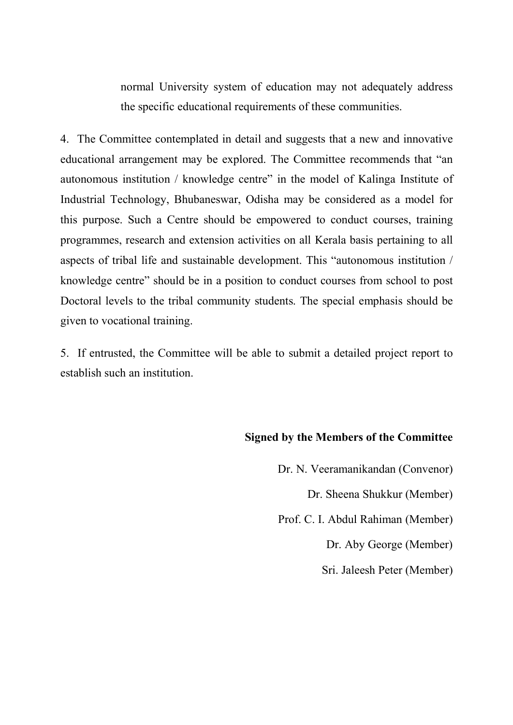normal University system of education may not adequately address the specific educational requirements of these communities.

4. The Committee contemplated in detail and suggests that a new and innovative educational arrangement may be explored. The Committee recommends that "an autonomous institution / knowledge centre" in the model of Kalinga Institute of Industrial Technology, Bhubaneswar, Odisha may be considered as a model for this purpose. Such a Centre should be empowered to conduct courses, training programmes, research and extension activities on all Kerala basis pertaining to all aspects of tribal life and sustainable development. This "autonomous institution / knowledge centre" should be in a position to conduct courses from school to post Doctoral levels to the tribal community students. The special emphasis should be given to vocational training.

5. If entrusted, the Committee will be able to submit a detailed project report to establish such an institution.

## **Signed by the Members of the Committee**

Dr. N. Veeramanikandan (Convenor) Dr. Sheena Shukkur (Member) Prof. C. I. Abdul Rahiman (Member) Dr. Aby George (Member) Sri. Jaleesh Peter (Member)